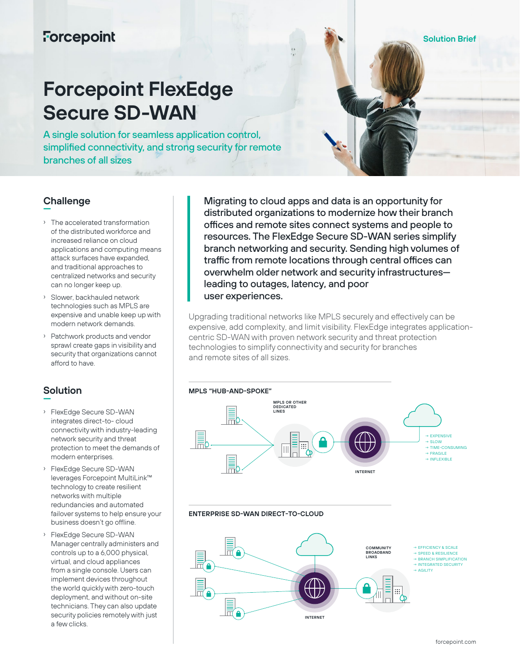## **Forcepoint**

# **Forcepoint FlexEdge Secure SD-WAN**

A single solution for seamless application control, simplified connectivity, and strong security for remote branches of all sizes

#### **Challenge —**

- › The accelerated transformation of the distributed workforce and increased reliance on cloud applications and computing means attack surfaces have expanded, and traditional approaches to centralized networks and security can no longer keep up.
- › Slower, backhauled network technologies such as MPLS are expensive and unable keep up with modern network demands.
- › Patchwork products and vendor sprawl create gaps in visibility and security that organizations cannot afford to have.

#### **Solution —**

- › FlexEdge Secure SD-WAN integrates direct-to- cloud connectivity with industry-leading network security and threat protection to meet the demands of modern enterprises.
- › FlexEdge Secure SD-WAN leverages Forcepoint MultiLink™ technology to create resilient networks with multiple redundancies and automated failover systems to help ensure your business doesn't go offline.
- › FlexEdge Secure SD-WAN Manager centrally administers and controls up to a 6,000 physical, virtual, and cloud appliances from a single console. Users can implement devices throughout the world quickly with zero-touch deployment, and without on-site technicians. They can also update security policies remotely with just a few clicks

Migrating to cloud apps and data is an opportunity for distributed organizations to modernize how their branch offices and remote sites connect systems and people to resources. The FlexEdge Secure SD-WAN series simplify branch networking and security. Sending high volumes of traffic from remote locations through central offices can overwhelm older network and security infrastructures leading to outages, latency, and poor user experiences.

Upgrading traditional networks like MPLS securely and effectively can be expensive, add complexity, and limit visibility. FlexEdge integrates applicationcentric SD-WAN with proven network security and threat protection technologies to simplify connectivity and security for branches and remote sites of all sizes.



#### **ENTERPRISE SD-WAN DIRECT-TO-CLOUD**



**Solution Brief**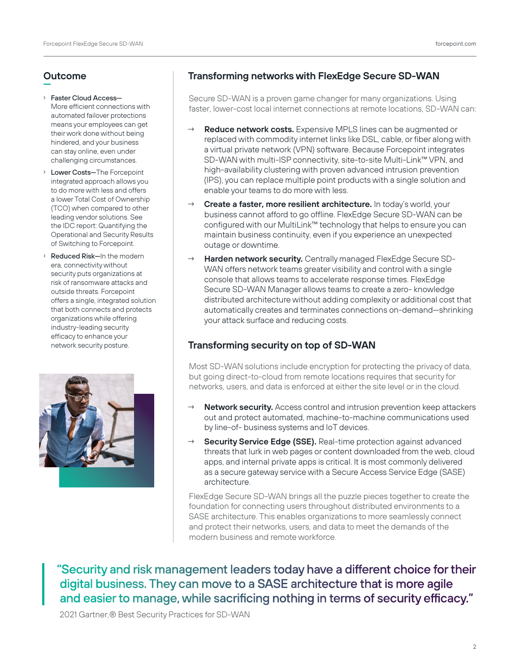#### **Outcome —**

#### › Faster Cloud Access—

- More efficient connections with automated failover protections means your employees can get their work done without being hindered, and your business can stay online, even under challenging circumstances.
- › Lower Costs—The Forcepoint integrated approach allows you to do more with less and offers a lower Total Cost of Ownership (TCO) when compared to other leading vendor solutions. See the IDC report: Quantifying the Operational and Security Results of Switching to Forcepoint.
- › Reduced Risk—In the modern era, connectivity without security puts organizations at risk of ransomware attacks and outside threats. Forcepoint offers a single, integrated solution that both connects and protects organizations while offering industry-leading security efficacy to enhance your network security posture.



## **Transforming networks with FlexEdge Secure SD-WAN**

Secure SD-WAN is a proven game changer for many organizations. Using faster, lower-cost local internet connections at remote locations, SD-WAN can:

- **Reduce network costs.** Expensive MPLS lines can be augmented or replaced with commodity internet links like DSL, cable, or fiber along with a virtual private network (VPN) software. Because Forcepoint integrates SD-WAN with multi-ISP connectivity, site-to-site Multi-Link™ VPN, and high-availability clustering with proven advanced intrusion prevention (IPS), you can replace multiple point products with a single solution and enable your teams to do more with less.
- Create a faster, more resilient architecture. In today's world, your business cannot afford to go offline. FlexEdge Secure SD-WAN can be configured with our MultiLink™ technology that helps to ensure you can maintain business continuity, even if you experience an unexpected outage or downtime.
- **Harden network security.** Centrally managed FlexEdge Secure SD-WAN offers network teams greater visibility and control with a single console that allows teams to accelerate response times. FlexEdge Secure SD-WAN Manager allows teams to create a zero- knowledge distributed architecture without adding complexity or additional cost that automatically creates and terminates connections on-demand—shrinking your attack surface and reducing costs.

## **Transforming security on top of SD-WAN**

Most SD-WAN solutions include encryption for protecting the privacy of data, but going direct-to-cloud from remote locations requires that security for networks, users, and data is enforced at either the site level or in the cloud.

- **Network security.** Access control and intrusion prevention keep attackers out and protect automated, machine-to-machine communications used by line-of- business systems and IoT devices.
- **Security Service Edge (SSE).** Real-time protection against advanced threats that lurk in web pages or content downloaded from the web, cloud apps, and internal private apps is critical. It is most commonly delivered as a secure gateway service with a Secure Access Service Edge (SASE) architecture.

FlexEdge Secure SD-WAN brings all the puzzle pieces together to create the foundation for connecting users throughout distributed environments to a SASE architecture. This enables organizations to more seamlessly connect and protect their networks, users, and data to meet the demands of the modern business and remote workforce.

"Security and risk management leaders today have a different choice for their digital business. They can move to a SASE architecture that is more agile and easier to manage, while sacrificing nothing in terms of security efficacy."

2021 Gartner,® Best Security Practices for SD-WAN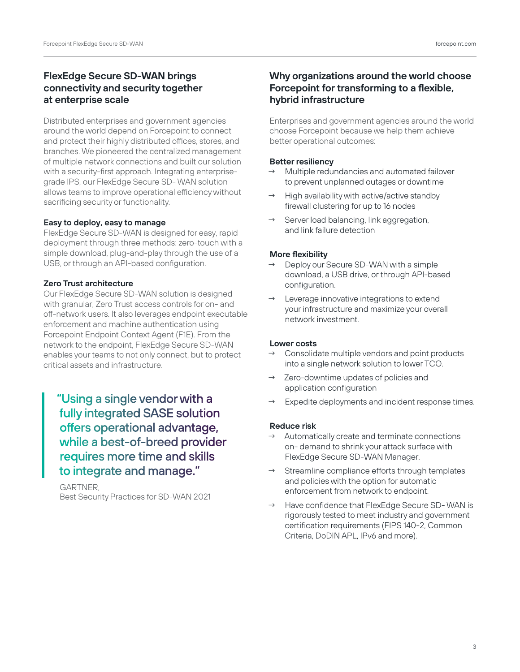## **FlexEdge Secure SD-WAN brings connectivity and security together at enterprise scale**

Distributed enterprises and government agencies around the world depend on Forcepoint to connect and protect their highly distributed offices, stores, and branches. We pioneered the centralized management of multiple network connections and built our solution with a security-first approach. Integrating enterprisegrade IPS, our FlexEdge Secure SD- WAN solution allows teams to improve operational efficiency without sacrificing security or functionality.

#### **Easy to deploy, easy to manage**

FlexEdge Secure SD-WAN is designed for easy, rapid deployment through three methods: zero-touch with a simple download, plug-and-play through the use of a USB, or through an API-based configuration.

#### **Zero Trust architecture**

Our FlexEdge Secure SD-WAN solution is designed with granular, Zero Trust access controls for on- and off-network users. It also leverages endpoint executable enforcement and machine authentication using Forcepoint Endpoint Context Agent (F1E). From the network to the endpoint, FlexEdge Secure SD-WAN enables your teams to not only connect, but to protect critical assets and infrastructure.

"Using a single vendor with a fully integrated SASE solution offers operational advantage, while a best-of-breed provider requires more time and skills to integrate and manage."

 GARTNER, Best Security Practices for SD-WAN 2021

## **Why organizations around the world choose Forcepoint for transforming to a flexible, hybrid infrastructure**

Enterprises and government agencies around the world choose Forcepoint because we help them achieve better operational outcomes:

#### **Better resiliency**

- $\rightarrow$  Multiple redundancies and automated failover to prevent unplanned outages or downtime
- High availability with active/active standby firewall clustering for up to 16 nodes
- Server load balancing, link aggregation, and link failure detection

#### **More flexibility**

- $\rightarrow$  Deploy our Secure SD-WAN with a simple download, a USB drive, or through API-based configuration.
- Leverage innovative integrations to extend your infrastructure and maximize your overall network investment.

#### **Lower costs**

- $\rightarrow$  Consolidate multiple vendors and point products into a single network solution to lower TCO.
- → Zero-downtime updates of policies and application configuration
- Expedite deployments and incident response times.

#### **Reduce risk**

- Automatically create and terminate connections on- demand to shrink your attack surface with FlexEdge Secure SD-WAN Manager.
- Streamline compliance efforts through templates and policies with the option for automatic enforcement from network to endpoint.
- Have confidence that FlexEdge Secure SD-WAN is rigorously tested to meet industry and government certification requirements (FIPS 140-2, Common Criteria, DoDIN APL, IPv6 and more).